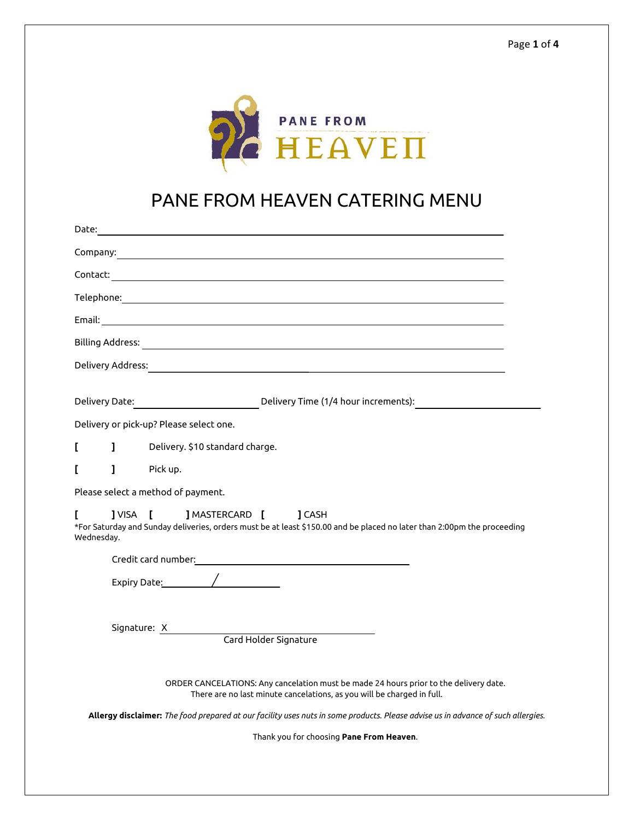

# PANE FROM HEAVEN CATERING MENU

| Delivery Date: _________________________________Delivery Time (1/4 hour increments): ________________________                                                                    |
|----------------------------------------------------------------------------------------------------------------------------------------------------------------------------------|
| Delivery or pick-up? Please select one.                                                                                                                                          |
| Delivery. \$10 standard charge.<br>L<br>1.                                                                                                                                       |
| J Pick up.<br>Г                                                                                                                                                                  |
| Please select a method of payment.                                                                                                                                               |
| <b>J</b> MASTERCARD [ J CASH<br>IVISA I<br>*For Saturday and Sunday deliveries, orders must be at least \$150.00 and be placed no later than 2:00pm the proceeding<br>Wednesday. |
|                                                                                                                                                                                  |
| Expiry Date: $\angle$                                                                                                                                                            |
| Signature: <u>X</u><br>Card Holder Signature                                                                                                                                     |
| ORDER CANCELATIONS: Any cancelation must be made 24 hours prior to the delivery date.<br>There are no last minute cancelations, as you will be charged in full.                  |
| Allergy disclaimer: The food prepared at our facility uses nuts in some products. Please advise us in advance of such allergies.                                                 |
| Thank you for choosing Pane From Heaven.                                                                                                                                         |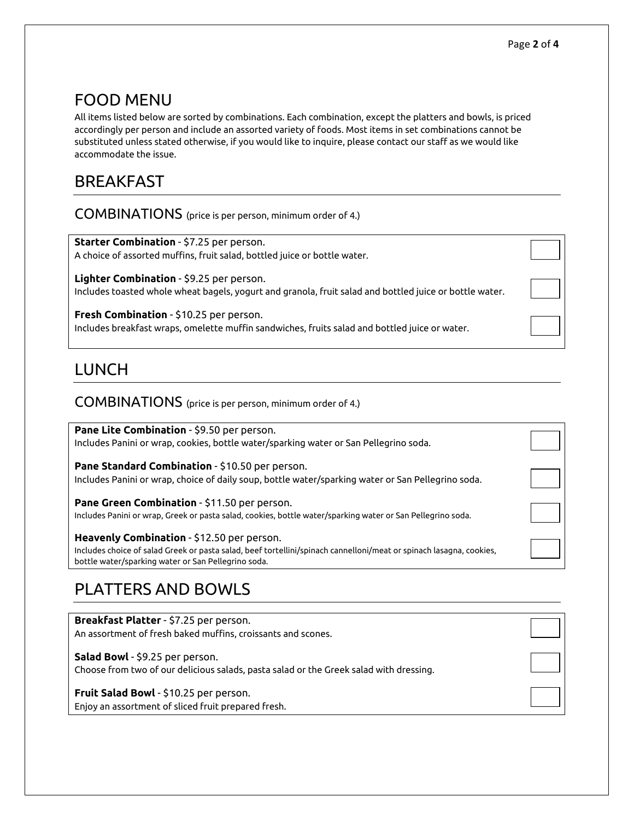## FOOD MENU

All items listed below are sorted by combinations. Each combination, except the platters and bowls, is priced accordingly per person and include an assorted variety of foods. Most items in set combinations cannot be substituted unless stated otherwise, if you would like to inquire, please contact our staff as we would like accommodate the issue.

## BREAKFAST

COMBINATIONS (price is per person, minimum order of 4.)

**Starter Combination** - \$7.25 per person. A choice of assorted muffins, fruit salad, bottled juice or bottle water.

**Lighter Combination** - \$9.25 per person. Includes toasted whole wheat bagels, yogurt and granola, fruit salad and bottled juice or bottle water.

**Fresh Combination** - \$10.25 per person. Includes breakfast wraps, omelette muffin sandwiches, fruits salad and bottled juice or water.

## LUNCH

COMBINATIONS (price is per person, minimum order of 4.)

**Pane Lite Combination** - \$9.50 per person. Includes Panini or wrap, cookies, bottle water/sparking water or San Pellegrino soda.

**Pane Standard Combination** - \$10.50 per person. Includes Panini or wrap, choice of daily soup, bottle water/sparking water or San Pellegrino soda.

**Pane Green Combination** - \$11.50 per person. Includes Panini or wrap, Greek or pasta salad, cookies, bottle water/sparking water or San Pellegrino soda.

**Heavenly Combination** - \$12.50 per person. Includes choice of salad Greek or pasta salad, beef tortellini/spinach cannelloni/meat or spinach lasagna, cookies, bottle water/sparking water or San Pellegrino soda.

## PLATTERS AND BOWLS

**Breakfast Platter** - \$7.25 per person. An assortment of fresh baked muffins, croissants and scones.

**Salad Bowl** - \$9.25 per person. Choose from two of our delicious salads, pasta salad or the Greek salad with dressing.

**Fruit Salad Bowl** - \$10.25 per person.

Enjoy an assortment of sliced fruit prepared fresh.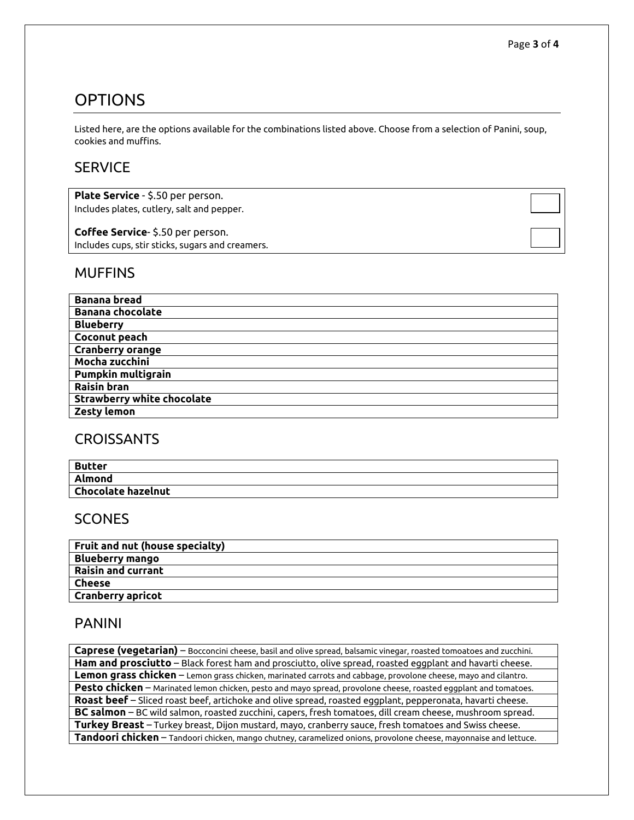## OPTIONS

Listed here, are the options available for the combinations listed above. Choose from a selection of Panini, soup, cookies and muffins.

#### **SERVICE**

**Plate Service** - \$.50 per person. Includes plates, cutlery, salt and pepper.

**Coffee Service**- \$.50 per person. Includes cups, stir sticks, sugars and creamers.

#### MUFFINS

| <b>Banana bread</b>               |
|-----------------------------------|
| <b>Banana chocolate</b>           |
| <b>Blueberry</b>                  |
| Coconut peach                     |
| <b>Cranberry orange</b>           |
| Mocha zucchini                    |
| Pumpkin multigrain                |
| <b>Raisin bran</b>                |
| <b>Strawberry white chocolate</b> |
| <b>Zesty lemon</b>                |

#### **CROISSANTS**

| <b>Butter</b>             |  |
|---------------------------|--|
| Almond                    |  |
| <b>Chocolate hazelnut</b> |  |

#### **SCONES**

| Fruit and nut (house specialty) |
|---------------------------------|
| <b>Blueberry mango</b>          |
| <b>Raisin and currant</b>       |
| <b>Cheese</b>                   |
| <b>Cranberry apricot</b>        |

#### PANINI

**Caprese (vegetarian)** – Bocconcini cheese, basil and olive spread, balsamic vinegar, roasted tomoatoes and zucchini. **Ham and prosciutto** – Black forest ham and prosciutto, olive spread, roasted eggplant and havarti cheese. **Lemon grass chicken** – Lemon grass chicken, marinated carrots and cabbage, provolone cheese, mayo and cilantro. **Pesto chicken** – Marinated lemon chicken, pesto and mayo spread, provolone cheese, roasted eggplant and tomatoes. **Roast beef** – Sliced roast beef, artichoke and olive spread, roasted eggplant, pepperonata, havarti cheese. **BC salmon** – BC wild salmon, roasted zucchini, capers, fresh tomatoes, dill cream cheese, mushroom spread. **Turkey Breast** – Turkey breast, Dijon mustard, mayo, cranberry sauce, fresh tomatoes and Swiss cheese. **Tandoori chicken** – Tandoori chicken, mango chutney, caramelized onions, provolone cheese, mayonnaise and lettuce.